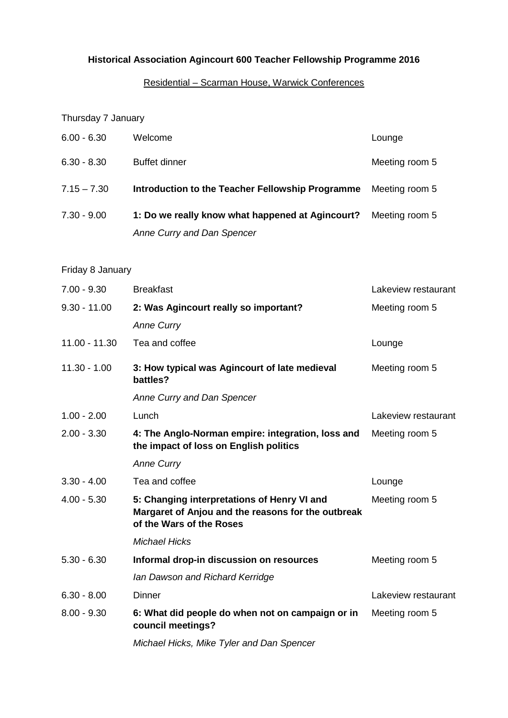# **Historical Association Agincourt 600 Teacher Fellowship Programme 2016**

# Residential – Scarman House, Warwick Conferences

## Thursday 7 January

|               | Anne Curry and Dan Spencer                       |                |
|---------------|--------------------------------------------------|----------------|
| $7.30 - 9.00$ | 1: Do we really know what happened at Agincourt? | Meeting room 5 |
| $7.15 - 7.30$ | Introduction to the Teacher Fellowship Programme | Meeting room 5 |
| $6.30 - 8.30$ | <b>Buffet dinner</b>                             | Meeting room 5 |
| $6.00 - 6.30$ | Welcome                                          | Lounge         |

# Friday 8 January

| $7.00 - 9.30$  | <b>Breakfast</b>                                                                                                              | Lakeview restaurant |
|----------------|-------------------------------------------------------------------------------------------------------------------------------|---------------------|
| $9.30 - 11.00$ | 2: Was Agincourt really so important?                                                                                         | Meeting room 5      |
|                | <b>Anne Curry</b>                                                                                                             |                     |
| 11.00 - 11.30  | Tea and coffee                                                                                                                | Lounge              |
| $11.30 - 1.00$ | 3: How typical was Agincourt of late medieval<br>battles?                                                                     | Meeting room 5      |
|                | Anne Curry and Dan Spencer                                                                                                    |                     |
| $1.00 - 2.00$  | Lunch                                                                                                                         | Lakeview restaurant |
| $2.00 - 3.30$  | 4: The Anglo-Norman empire: integration, loss and<br>the impact of loss on English politics                                   | Meeting room 5      |
|                | <b>Anne Curry</b>                                                                                                             |                     |
| $3.30 - 4.00$  | Tea and coffee                                                                                                                | Lounge              |
| $4.00 - 5.30$  | 5: Changing interpretations of Henry VI and<br>Margaret of Anjou and the reasons for the outbreak<br>of the Wars of the Roses | Meeting room 5      |
|                | <b>Michael Hicks</b>                                                                                                          |                     |
| $5.30 - 6.30$  | Informal drop-in discussion on resources                                                                                      | Meeting room 5      |
|                | Ian Dawson and Richard Kerridge                                                                                               |                     |
| $6.30 - 8.00$  | <b>Dinner</b>                                                                                                                 | Lakeview restaurant |
| $8.00 - 9.30$  | 6: What did people do when not on campaign or in<br>council meetings?                                                         | Meeting room 5      |
|                | Michael Hicks, Mike Tyler and Dan Spencer                                                                                     |                     |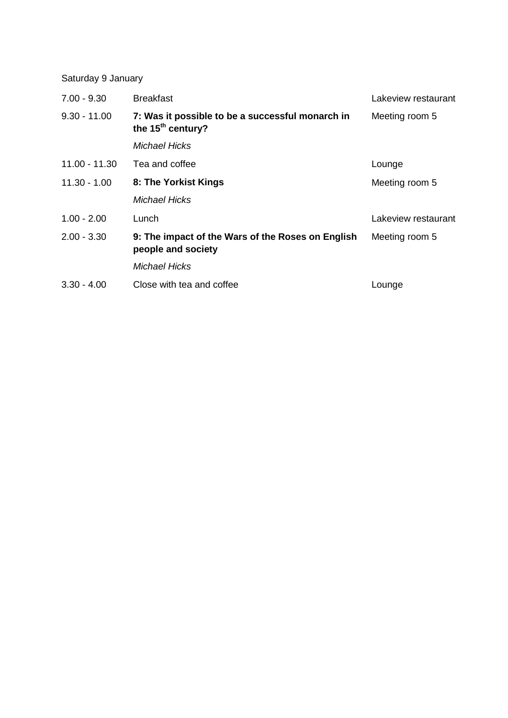Saturday 9 January

| $7.00 - 9.30$  | <b>Breakfast</b>                                                        | Lakeview restaurant |
|----------------|-------------------------------------------------------------------------|---------------------|
| $9.30 - 11.00$ | 7: Was it possible to be a successful monarch in<br>the $15th$ century? | Meeting room 5      |
|                | <b>Michael Hicks</b>                                                    |                     |
| 11.00 - 11.30  | Tea and coffee                                                          | Lounge              |
| $11.30 - 1.00$ | 8: The Yorkist Kings                                                    | Meeting room 5      |
|                | <b>Michael Hicks</b>                                                    |                     |
| $1.00 - 2.00$  | Lunch                                                                   | Lakeview restaurant |
| $2.00 - 3.30$  | 9: The impact of the Wars of the Roses on English<br>people and society | Meeting room 5      |
|                | <b>Michael Hicks</b>                                                    |                     |
| $3.30 - 4.00$  | Close with tea and coffee                                               | Lounge              |